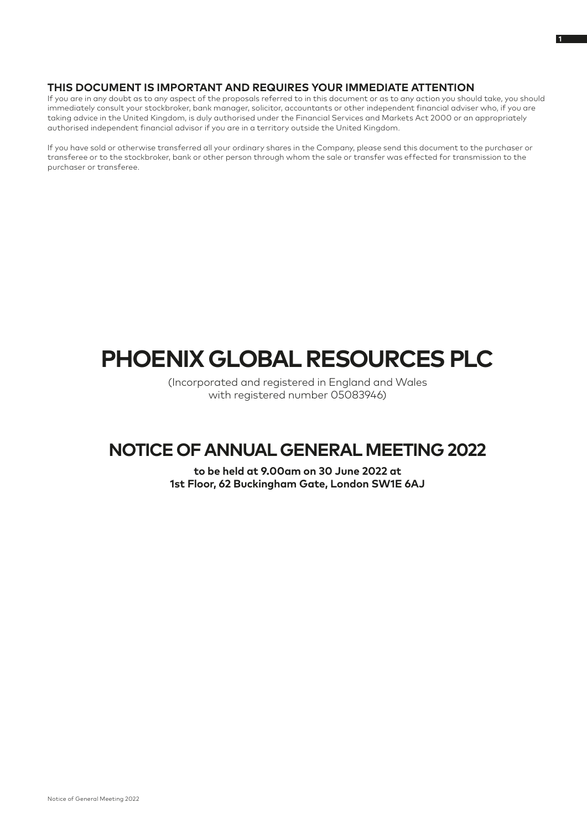### **THIS DOCUMENT IS IMPORTANT AND REQUIRES YOUR IMMEDIATE ATTENTION**

If you are in any doubt as to any aspect of the proposals referred to in this document or as to any action you should take, you should immediately consult your stockbroker, bank manager, solicitor, accountants or other independent financial adviser who, if you are taking advice in the United Kingdom, is duly authorised under the Financial Services and Markets Act 2000 or an appropriately authorised independent financial advisor if you are in a territory outside the United Kingdom.

If you have sold or otherwise transferred all your ordinary shares in the Company, please send this document to the purchaser or transferee or to the stockbroker, bank or other person through whom the sale or transfer was effected for transmission to the purchaser or transferee.

# **PHOENIX GLOBAL RESOURCES PLC**

(Incorporated and registered in England and Wales with registered number 05083946)

## **NOTICE OF ANNUAL GENERAL MEETING 2022**

**to be held at 9.00am on 30 June 2022 at 1st Floor, 62 Buckingham Gate, London SW1E 6AJ**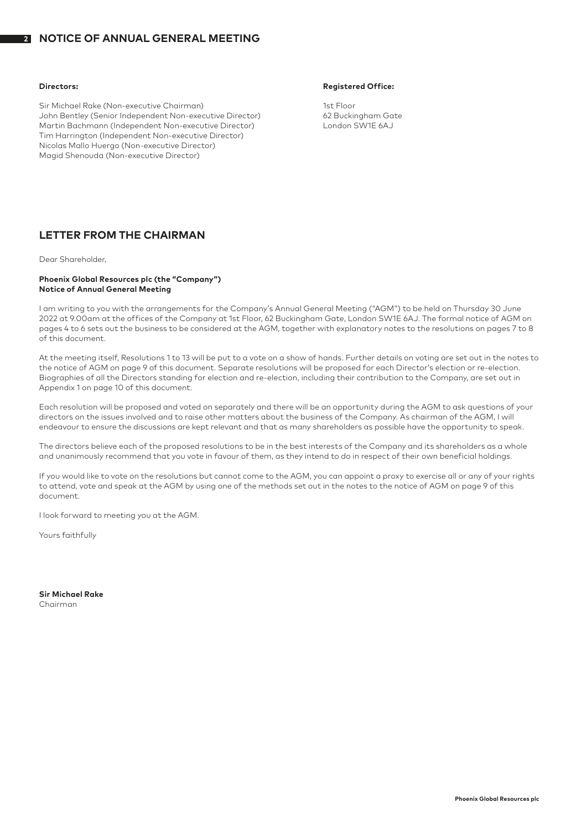#### **2 NOTICE OF ANNUAL GENERAL MEETING**

Sir Michael Rake (Non-executive Chairman) 1st Floor John Bentley (Senior Independent Non-executive Director) 62 Buckingham Gate Martin Bachmann (Independent Non-executive Director) Tim Harrington (Independent Non-executive Director) Nicolas Mallo Huergo (Non-executive Director) Magid Shenouda (Non-executive Director)

### **Directors: Registered Office:**

### **LETTER FROM THE CHAIRMAN**

Dear Shareholder,

### **Phoenix Global Resources plc (the "Company") Notice of Annual General Meeting**

I am writing to you with the arrangements for the Company's Annual General Meeting ("AGM") to be held on Thursday 30 June 2022 at 9.00am at the offices of the Company at 1st Floor, 62 Buckingham Gate, London SW1E 6AJ. The formal notice of AGM on pages 4 to 6 sets out the business to be considered at the AGM, together with explanatory notes to the resolutions on pages 7 to 8 of this document.

At the meeting itself, Resolutions 1 to 13 will be put to a vote on a show of hands. Further details on voting are set out in the notes to the notice of AGM on page 9 of this document. Separate resolutions will be proposed for each Director's election or re-election. Biographies of all the Directors standing for election and re-election, including their contribution to the Company, are set out in Appendix 1 on page 10 of this document.

Each resolution will be proposed and voted on separately and there will be an opportunity during the AGM to ask questions of your directors on the issues involved and to raise other matters about the business of the Company. As chairman of the AGM, I will endeavour to ensure the discussions are kept relevant and that as many shareholders as possible have the opportunity to speak.

The directors believe each of the proposed resolutions to be in the best interests of the Company and its shareholders as a whole and unanimously recommend that you vote in favour of them, as they intend to do in respect of their own beneficial holdings.

If you would like to vote on the resolutions but cannot come to the AGM, you can appoint a proxy to exercise all or any of your rights to attend, vote and speak at the AGM by using one of the methods set out in the notes to the notice of AGM on page 9 of this document.

I look forward to meeting you at the AGM.

Yours faithfully

**Sir Michael Rake** Chairman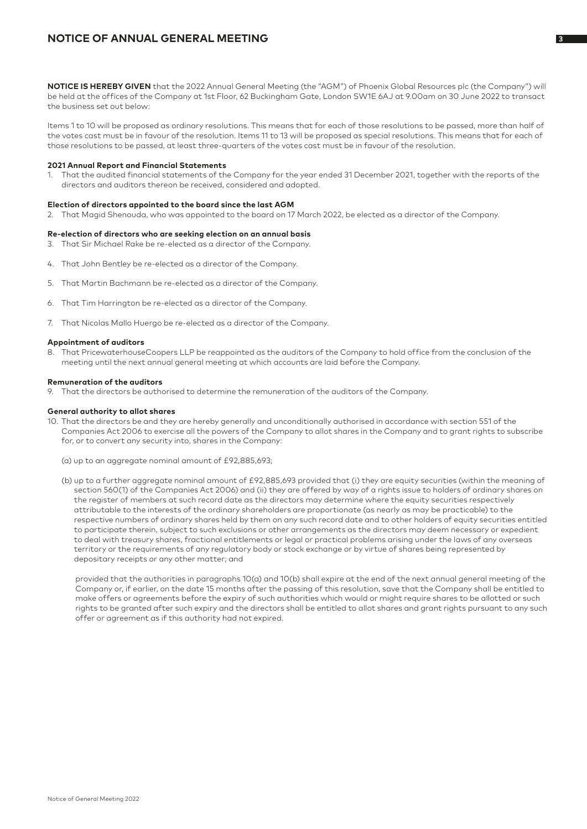### **NOTICE OF ANNUAL GENERAL MEETING <sup>3</sup>**

**NOTICE IS HEREBY GIVEN** that the 2022 Annual General Meeting (the "AGM") of Phoenix Global Resources plc (the Company") will be held at the offices of the Company at 1st Floor, 62 Buckingham Gate, London SW1E 6AJ at 9.00am on 30 June 2022 to transact the business set out below:

Items 1 to 10 will be proposed as ordinary resolutions. This means that for each of those resolutions to be passed, more than half of the votes cast must be in favour of the resolution. Items 11 to 13 will be proposed as special resolutions. This means that for each of those resolutions to be passed, at least three-quarters of the votes cast must be in favour of the resolution.

### **2021 Annual Report and Financial Statements**

1. That the audited financial statements of the Company for the year ended 31 December 2021, together with the reports of the directors and auditors thereon be received, considered and adopted.

### **Election of directors appointed to the board since the last AGM**

2. That Magid Shenouda, who was appointed to the board on 17 March 2022, be elected as a director of the Company.

### **Re-election of directors who are seeking election on an annual basis**

- 3. That Sir Michael Rake be re-elected as a director of the Company.
- 4. That John Bentley be re-elected as a director of the Company.
- 5. That Martin Bachmann be re-elected as a director of the Company.
- 6. That Tim Harrington be re-elected as a director of the Company.
- 7. That Nicolas Mallo Huergo be re-elected as a director of the Company.

### **Appointment of auditors**

8. That PricewaterhouseCoopers LLP be reappointed as the auditors of the Company to hold office from the conclusion of the meeting until the next annual general meeting at which accounts are laid before the Company.

### **Remuneration of the auditors**

9. That the directors be authorised to determine the remuneration of the auditors of the Company.

### **General authority to allot shares**

- 10. That the directors be and they are hereby generally and unconditionally authorised in accordance with section 551 of the Companies Act 2006 to exercise all the powers of the Company to allot shares in the Company and to grant rights to subscribe for, or to convert any security into, shares in the Company:
	- (a) up to an aggregate nominal amount of £92,885,693;
	- (b) up to a further aggregate nominal amount of £92,885,693 provided that (i) they are equity securities (within the meaning of section 560(1) of the Companies Act 2006) and (ii) they are offered by way of a rights issue to holders of ordinary shares on the register of members at such record date as the directors may determine where the equity securities respectively attributable to the interests of the ordinary shareholders are proportionate (as nearly as may be practicable) to the respective numbers of ordinary shares held by them on any such record date and to other holders of equity securities entitled to participate therein, subject to such exclusions or other arrangements as the directors may deem necessary or expedient to deal with treasury shares, fractional entitlements or legal or practical problems arising under the laws of any overseas territory or the requirements of any regulatory body or stock exchange or by virtue of shares being represented by depositary receipts or any other matter; and

provided that the authorities in paragraphs 10(a) and 10(b) shall expire at the end of the next annual general meeting of the Company or, if earlier, on the date 15 months after the passing of this resolution, save that the Company shall be entitled to make offers or agreements before the expiry of such authorities which would or might require shares to be allotted or such rights to be granted after such expiry and the directors shall be entitled to allot shares and grant rights pursuant to any such offer or agreement as if this authority had not expired.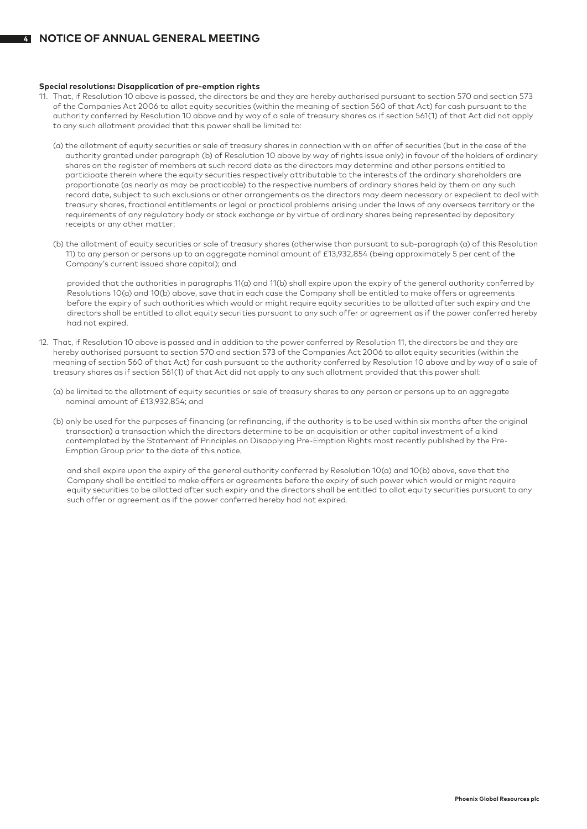**4**

### **Special resolutions: Disapplication of pre-emption rights**

- 11. That, if Resolution 10 above is passed, the directors be and they are hereby authorised pursuant to section 570 and section 573 of the Companies Act 2006 to allot equity securities (within the meaning of section 560 of that Act) for cash pursuant to the authority conferred by Resolution 10 above and by way of a sale of treasury shares as if section 561(1) of that Act did not apply to any such allotment provided that this power shall be limited to:
	- (a) the allotment of equity securities or sale of treasury shares in connection with an offer of securities (but in the case of the authority granted under paragraph (b) of Resolution 10 above by way of rights issue only) in favour of the holders of ordinary shares on the register of members at such record date as the directors may determine and other persons entitled to participate therein where the equity securities respectively attributable to the interests of the ordinary shareholders are proportionate (as nearly as may be practicable) to the respective numbers of ordinary shares held by them on any such record date, subject to such exclusions or other arrangements as the directors may deem necessary or expedient to deal with treasury shares, fractional entitlements or legal or practical problems arising under the laws of any overseas territory or the requirements of any regulatory body or stock exchange or by virtue of ordinary shares being represented by depositary receipts or any other matter;
	- (b) the allotment of equity securities or sale of treasury shares (otherwise than pursuant to sub-paragraph (a) of this Resolution 11) to any person or persons up to an aggregate nominal amount of £13,932,854 (being approximately 5 per cent of the Company's current issued share capital); and

 provided that the authorities in paragraphs 11(a) and 11(b) shall expire upon the expiry of the general authority conferred by Resolutions 10(a) and 10(b) above, save that in each case the Company shall be entitled to make offers or agreements before the expiry of such authorities which would or might require equity securities to be allotted after such expiry and the directors shall be entitled to allot equity securities pursuant to any such offer or agreement as if the power conferred hereby had not expired.

- 12. That, if Resolution 10 above is passed and in addition to the power conferred by Resolution 11, the directors be and they are hereby authorised pursuant to section 570 and section 573 of the Companies Act 2006 to allot equity securities (within the meaning of section 560 of that Act) for cash pursuant to the authority conferred by Resolution 10 above and by way of a sale of treasury shares as if section 561(1) of that Act did not apply to any such allotment provided that this power shall:
	- (a) be limited to the allotment of equity securities or sale of treasury shares to any person or persons up to an aggregate nominal amount of £13,932,854; and
	- (b) only be used for the purposes of financing (or refinancing, if the authority is to be used within six months after the original transaction) a transaction which the directors determine to be an acquisition or other capital investment of a kind contemplated by the Statement of Principles on Disapplying Pre-Emption Rights most recently published by the Pre-Emption Group prior to the date of this notice,

 and shall expire upon the expiry of the general authority conferred by Resolution 10(a) and 10(b) above, save that the Company shall be entitled to make offers or agreements before the expiry of such power which would or might require equity securities to be allotted after such expiry and the directors shall be entitled to allot equity securities pursuant to any such offer or agreement as if the power conferred hereby had not expired.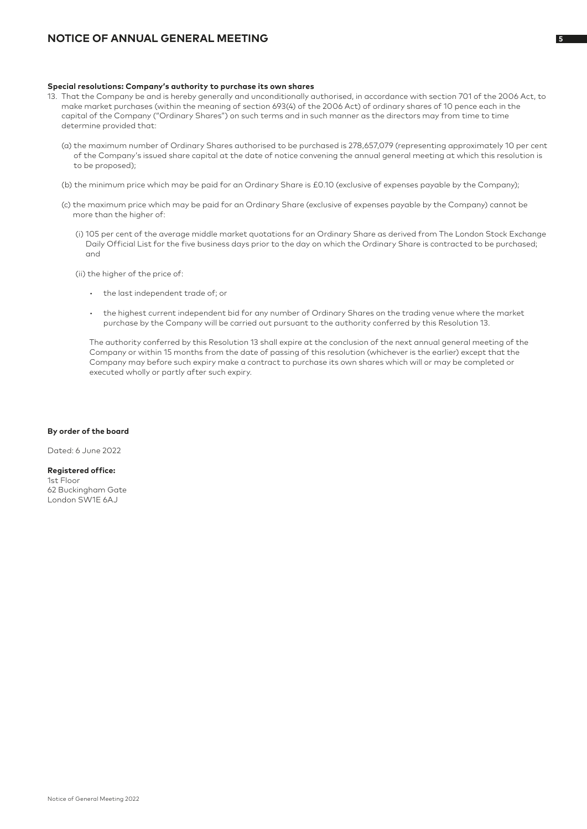### **NOTICE OF ANNUAL GENERAL MEETING**

### **Special resolutions: Company's authority to purchase its own shares**

- 13. That the Company be and is hereby generally and unconditionally authorised, in accordance with section 701 of the 2006 Act, to make market purchases (within the meaning of section 693(4) of the 2006 Act) of ordinary shares of 10 pence each in the capital of the Company ("Ordinary Shares") on such terms and in such manner as the directors may from time to time determine provided that:
	- (a) the maximum number of Ordinary Shares authorised to be purchased is 278,657,079 (representing approximately 10 per cent of the Company's issued share capital at the date of notice convening the annual general meeting at which this resolution is to be proposed);
	- (b) the minimum price which may be paid for an Ordinary Share is £0.10 (exclusive of expenses payable by the Company);
	- (c) the maximum price which may be paid for an Ordinary Share (exclusive of expenses payable by the Company) cannot be more than the higher of:
		- (i) 105 per cent of the average middle market quotations for an Ordinary Share as derived from The London Stock Exchange Daily Official List for the five business days prior to the day on which the Ordinary Share is contracted to be purchased; and
		- (ii) the higher of the price of:
			- the last independent trade of; or
			- the highest current independent bid for any number of Ordinary Shares on the trading venue where the market purchase by the Company will be carried out pursuant to the authority conferred by this Resolution 13.

 The authority conferred by this Resolution 13 shall expire at the conclusion of the next annual general meeting of the Company or within 15 months from the date of passing of this resolution (whichever is the earlier) except that the Company may before such expiry make a contract to purchase its own shares which will or may be completed or executed wholly or partly after such expiry.

### **By order of the board**

Dated: 6 June 2022

**Registered office:** 1st Floor 62 Buckingham Gate London SW1E 6AJ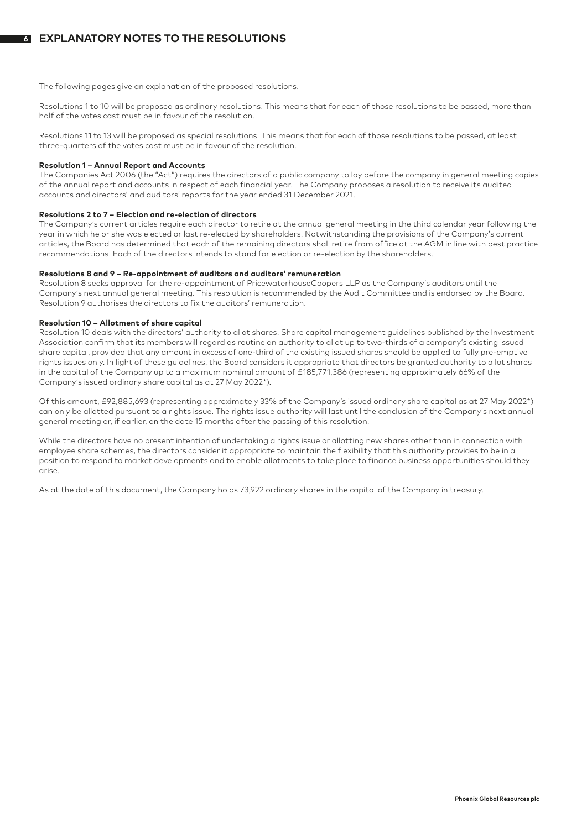The following pages give an explanation of the proposed resolutions.

Resolutions 1 to 10 will be proposed as ordinary resolutions. This means that for each of those resolutions to be passed, more than half of the votes cast must be in favour of the resolution.

Resolutions 11 to 13 will be proposed as special resolutions. This means that for each of those resolutions to be passed, at least three-quarters of the votes cast must be in favour of the resolution.

### **Resolution 1 – Annual Report and Accounts**

The Companies Act 2006 (the "Act") requires the directors of a public company to lay before the company in general meeting copies of the annual report and accounts in respect of each financial year. The Company proposes a resolution to receive its audited accounts and directors' and auditors' reports for the year ended 31 December 2021.

### **Resolutions 2 to 7 – Election and re-election of directors**

The Company's current articles require each director to retire at the annual general meeting in the third calendar year following the year in which he or she was elected or last re-elected by shareholders. Notwithstanding the provisions of the Company's current articles, the Board has determined that each of the remaining directors shall retire from office at the AGM in line with best practice recommendations. Each of the directors intends to stand for election or re-election by the shareholders.

### **Resolutions 8 and 9 – Re-appointment of auditors and auditors' remuneration**

Resolution 8 seeks approval for the re-appointment of PricewaterhouseCoopers LLP as the Company's auditors until the Company's next annual general meeting. This resolution is recommended by the Audit Committee and is endorsed by the Board. Resolution 9 authorises the directors to fix the auditors' remuneration.

### **Resolution 10 – Allotment of share capital**

Resolution 10 deals with the directors' authority to allot shares. Share capital management guidelines published by the Investment Association confirm that its members will regard as routine an authority to allot up to two-thirds of a company's existing issued share capital, provided that any amount in excess of one-third of the existing issued shares should be applied to fully pre-emptive rights issues only. In light of these guidelines, the Board considers it appropriate that directors be granted authority to allot shares in the capital of the Company up to a maximum nominal amount of £185,771,386 (representing approximately 66% of the Company's issued ordinary share capital as at 27 May 2022\*).

Of this amount, £92,885,693 (representing approximately 33% of the Company's issued ordinary share capital as at 27 May 2022\*) can only be allotted pursuant to a rights issue. The rights issue authority will last until the conclusion of the Company's next annual general meeting or, if earlier, on the date 15 months after the passing of this resolution.

While the directors have no present intention of undertaking a rights issue or allotting new shares other than in connection with employee share schemes, the directors consider it appropriate to maintain the flexibility that this authority provides to be in a position to respond to market developments and to enable allotments to take place to finance business opportunities should they arise.

As at the date of this document, the Company holds 73,922 ordinary shares in the capital of the Company in treasury.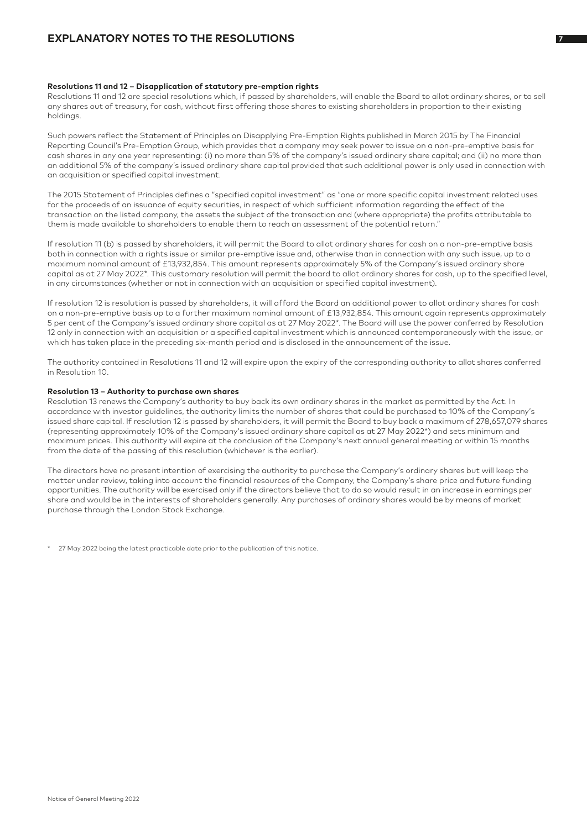### **EXPLANATORY NOTES TO THE RESOLUTIONS**

### **Resolutions 11 and 12 – Disapplication of statutory pre-emption rights**

Resolutions 11 and 12 are special resolutions which, if passed by shareholders, will enable the Board to allot ordinary shares, or to sell any shares out of treasury, for cash, without first offering those shares to existing shareholders in proportion to their existing holdings.

Such powers reflect the Statement of Principles on Disapplying Pre-Emption Rights published in March 2015 by The Financial Reporting Council's Pre-Emption Group, which provides that a company may seek power to issue on a non-pre-emptive basis for cash shares in any one year representing: (i) no more than 5% of the company's issued ordinary share capital; and (ii) no more than an additional 5% of the company's issued ordinary share capital provided that such additional power is only used in connection with an acquisition or specified capital investment.

The 2015 Statement of Principles defines a "specified capital investment" as "one or more specific capital investment related uses for the proceeds of an issuance of equity securities, in respect of which sufficient information regarding the effect of the transaction on the listed company, the assets the subject of the transaction and (where appropriate) the profits attributable to them is made available to shareholders to enable them to reach an assessment of the potential return."

If resolution 11 (b) is passed by shareholders, it will permit the Board to allot ordinary shares for cash on a non-pre-emptive basis both in connection with a rights issue or similar pre-emptive issue and, otherwise than in connection with any such issue, up to a maximum nominal amount of £13,932,854. This amount represents approximately 5% of the Company's issued ordinary share capital as at 27 May 2022\*. This customary resolution will permit the board to allot ordinary shares for cash, up to the specified level, in any circumstances (whether or not in connection with an acquisition or specified capital investment).

If resolution 12 is resolution is passed by shareholders, it will afford the Board an additional power to allot ordinary shares for cash on a non-pre-emptive basis up to a further maximum nominal amount of £13,932,854. This amount again represents approximately 5 per cent of the Company's issued ordinary share capital as at 27 May 2022\*. The Board will use the power conferred by Resolution 12 only in connection with an acquisition or a specified capital investment which is announced contemporaneously with the issue, or which has taken place in the preceding six-month period and is disclosed in the announcement of the issue.

The authority contained in Resolutions 11 and 12 will expire upon the expiry of the corresponding authority to allot shares conferred in Resolution 10.

### **Resolution 13 – Authority to purchase own shares**

Resolution 13 renews the Company's authority to buy back its own ordinary shares in the market as permitted by the Act. In accordance with investor guidelines, the authority limits the number of shares that could be purchased to 10% of the Company's issued share capital. If resolution 12 is passed by shareholders, it will permit the Board to buy back a maximum of 278,657,079 shares (representing approximately 10% of the Company's issued ordinary share capital as at 27 May 2022\*) and sets minimum and maximum prices. This authority will expire at the conclusion of the Company's next annual general meeting or within 15 months from the date of the passing of this resolution (whichever is the earlier).

The directors have no present intention of exercising the authority to purchase the Company's ordinary shares but will keep the matter under review, taking into account the financial resources of the Company, the Company's share price and future funding opportunities. The authority will be exercised only if the directors believe that to do so would result in an increase in earnings per share and would be in the interests of shareholders generally. Any purchases of ordinary shares would be by means of market purchase through the London Stock Exchange.

\* 27 May 2022 being the latest practicable date prior to the publication of this notice.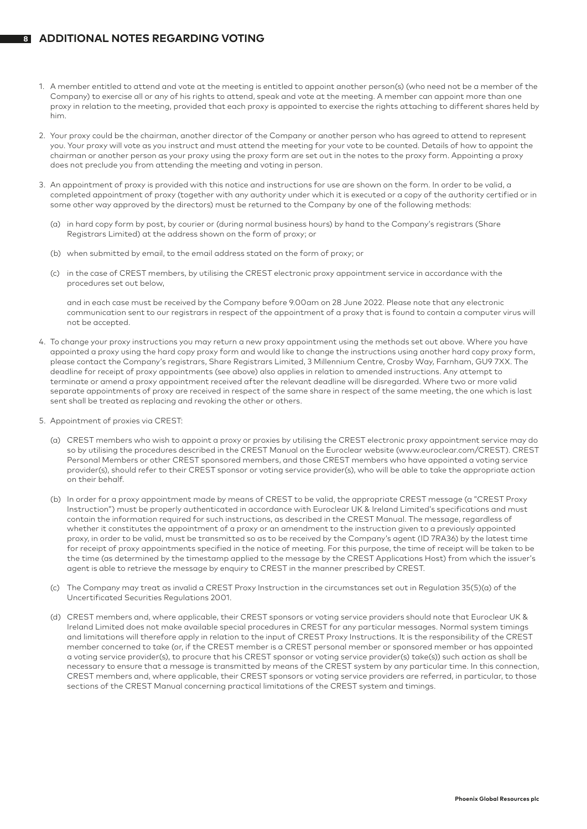### **<sup>8</sup> ADDITIONAL NOTES REGARDING VOTING**

- 1. A member entitled to attend and vote at the meeting is entitled to appoint another person(s) (who need not be a member of the Company) to exercise all or any of his rights to attend, speak and vote at the meeting. A member can appoint more than one proxy in relation to the meeting, provided that each proxy is appointed to exercise the rights attaching to different shares held by him.
- 2. Your proxy could be the chairman, another director of the Company or another person who has agreed to attend to represent you. Your proxy will vote as you instruct and must attend the meeting for your vote to be counted. Details of how to appoint the chairman or another person as your proxy using the proxy form are set out in the notes to the proxy form. Appointing a proxy does not preclude you from attending the meeting and voting in person.
- 3. An appointment of proxy is provided with this notice and instructions for use are shown on the form. In order to be valid, a completed appointment of proxy (together with any authority under which it is executed or a copy of the authority certified or in some other way approved by the directors) must be returned to the Company by one of the following methods:
	- (a) in hard copy form by post, by courier or (during normal business hours) by hand to the Company's registrars (Share Registrars Limited) at the address shown on the form of proxy; or
	- (b) when submitted by email, to the email address stated on the form of proxy; or
	- (c) in the case of CREST members, by utilising the CREST electronic proxy appointment service in accordance with the procedures set out below,

and in each case must be received by the Company before 9.00am on 28 June 2022. Please note that any electronic communication sent to our registrars in respect of the appointment of a proxy that is found to contain a computer virus will not be accepted.

- 4. To change your proxy instructions you may return a new proxy appointment using the methods set out above. Where you have appointed a proxy using the hard copy proxy form and would like to change the instructions using another hard copy proxy form, please contact the Company's registrars, Share Registrars Limited, 3 Millennium Centre, Crosby Way, Farnham, GU9 7XX. The deadline for receipt of proxy appointments (see above) also applies in relation to amended instructions. Any attempt to terminate or amend a proxy appointment received after the relevant deadline will be disregarded. Where two or more valid separate appointments of proxy are received in respect of the same share in respect of the same meeting, the one which is last sent shall be treated as replacing and revoking the other or others.
- 5. Appointment of proxies via CREST:
	- (a) CREST members who wish to appoint a proxy or proxies by utilising the CREST electronic proxy appointment service may do so by utilising the procedures described in the CREST Manual on the Euroclear website (www.euroclear.com/CREST). CREST Personal Members or other CREST sponsored members, and those CREST members who have appointed a voting service provider(s), should refer to their CREST sponsor or voting service provider(s), who will be able to take the appropriate action on their behalf.
	- (b) In order for a proxy appointment made by means of CREST to be valid, the appropriate CREST message (a "CREST Proxy Instruction") must be properly authenticated in accordance with Euroclear UK & Ireland Limited's specifications and must contain the information required for such instructions, as described in the CREST Manual. The message, regardless of whether it constitutes the appointment of a proxy or an amendment to the instruction given to a previously appointed proxy, in order to be valid, must be transmitted so as to be received by the Company's agent (ID 7RA36) by the latest time for receipt of proxy appointments specified in the notice of meeting. For this purpose, the time of receipt will be taken to be the time (as determined by the timestamp applied to the message by the CREST Applications Host) from which the issuer's agent is able to retrieve the message by enquiry to CREST in the manner prescribed by CREST.
	- (c) The Company may treat as invalid a CREST Proxy Instruction in the circumstances set out in Regulation 35(5)(a) of the Uncertificated Securities Regulations 2001.
	- (d) CREST members and, where applicable, their CREST sponsors or voting service providers should note that Euroclear UK & Ireland Limited does not make available special procedures in CREST for any particular messages. Normal system timings and limitations will therefore apply in relation to the input of CREST Proxy Instructions. It is the responsibility of the CREST member concerned to take (or, if the CREST member is a CREST personal member or sponsored member or has appointed a voting service provider(s), to procure that his CREST sponsor or voting service provider(s) take(s)) such action as shall be necessary to ensure that a message is transmitted by means of the CREST system by any particular time. In this connection, CREST members and, where applicable, their CREST sponsors or voting service providers are referred, in particular, to those sections of the CREST Manual concerning practical limitations of the CREST system and timings.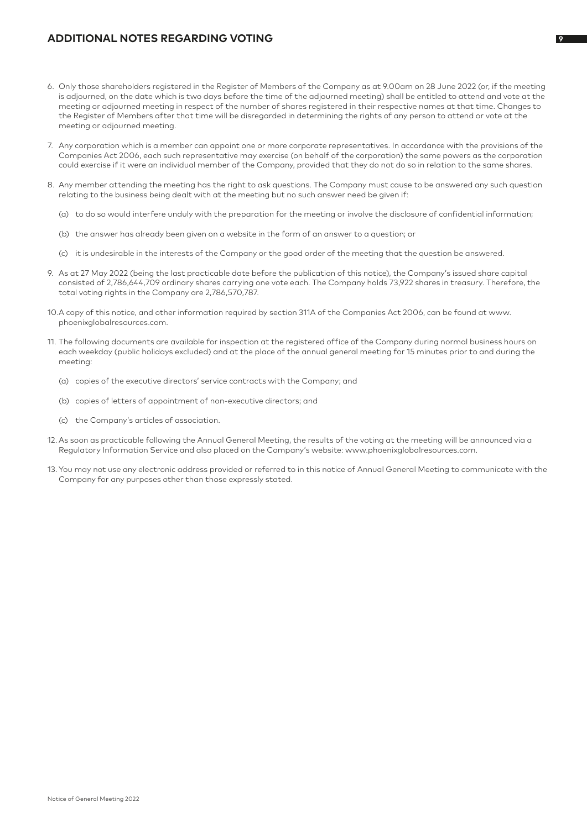### **ADDITIONAL NOTES REGARDING VOTING <sup>9</sup>**

- 6. Only those shareholders registered in the Register of Members of the Company as at 9.00am on 28 June 2022 (or, if the meeting is adjourned, on the date which is two days before the time of the adjourned meeting) shall be entitled to attend and vote at the meeting or adjourned meeting in respect of the number of shares registered in their respective names at that time. Changes to the Register of Members after that time will be disregarded in determining the rights of any person to attend or vote at the meeting or adjourned meeting.
- 7. Any corporation which is a member can appoint one or more corporate representatives. In accordance with the provisions of the Companies Act 2006, each such representative may exercise (on behalf of the corporation) the same powers as the corporation could exercise if it were an individual member of the Company, provided that they do not do so in relation to the same shares.
- 8. Any member attending the meeting has the right to ask questions. The Company must cause to be answered any such question relating to the business being dealt with at the meeting but no such answer need be given if:
	- (a) to do so would interfere unduly with the preparation for the meeting or involve the disclosure of confidential information;
	- (b) the answer has already been given on a website in the form of an answer to a question; or
	- (c) it is undesirable in the interests of the Company or the good order of the meeting that the question be answered.
- 9. As at 27 May 2022 (being the last practicable date before the publication of this notice), the Company's issued share capital consisted of 2,786,644,709 ordinary shares carrying one vote each. The Company holds 73,922 shares in treasury. Therefore, the total voting rights in the Company are 2,786,570,787.
- 10.A copy of this notice, and other information required by section 311A of the Companies Act 2006, can be found at www. phoenixglobalresources.com.
- 11. The following documents are available for inspection at the registered office of the Company during normal business hours on each weekday (public holidays excluded) and at the place of the annual general meeting for 15 minutes prior to and during the meeting:
	- (a) copies of the executive directors' service contracts with the Company; and
	- (b) copies of letters of appointment of non-executive directors; and
	- (c) the Company's articles of association.
- 12. As soon as practicable following the Annual General Meeting, the results of the voting at the meeting will be announced via a Regulatory Information Service and also placed on the Company's website: www.phoenixglobalresources.com.
- 13. You may not use any electronic address provided or referred to in this notice of Annual General Meeting to communicate with the Company for any purposes other than those expressly stated.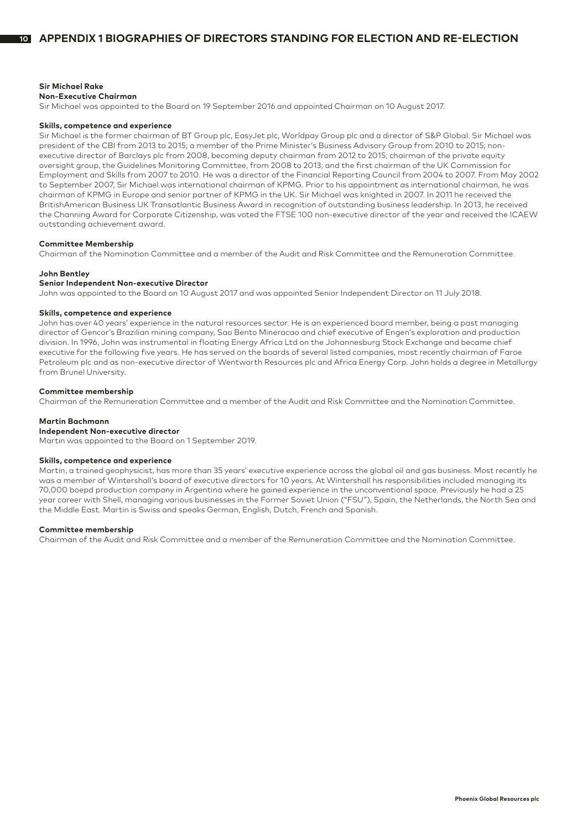### **Sir Michael Rake**

#### **Non-Executive Chairman**

Sir Michael was appointed to the Board on 19 September 2016 and appointed Chairman on 10 August 2017.

#### **Skills, competence and experience**

Sir Michael is the former chairman of BT Group plc, EasyJet plc, Worldpay Group plc and a director of S&P Global. Sir Michael was president of the CBI from 2013 to 2015; a member of the Prime Minister's Business Advisory Group from 2010 to 2015; nonexecutive director of Barclays plc from 2008, becoming deputy chairman from 2012 to 2015; chairman of the private equity oversight group, the Guidelines Monitoring Committee, from 2008 to 2013; and the first chairman of the UK Commission for Employment and Skills from 2007 to 2010. He was a director of the Financial Reporting Council from 2004 to 2007. From May 2002 to September 2007, Sir Michael was international chairman of KPMG. Prior to his appointment as international chairman, he was chairman of KPMG in Europe and senior partner of KPMG in the UK. Sir Michael was knighted in 2007. In 2011 he received the BritishAmerican Business UK Transatlantic Business Award in recognition of outstanding business leadership. In 2013, he received the Channing Award for Corporate Citizenship, was voted the FTSE 100 non-executive director of the year and received the ICAEW outstanding achievement award.

### **Committee Membership**

Chairman of the Nomination Committee and a member of the Audit and Risk Committee and the Remuneration Committee.

### **John Bentley**

#### **Senior Independent Non-executive Director**

John was appointed to the Board on 10 August 2017 and was appointed Senior Independent Director on 11 July 2018.

### **Skills, competence and experience**

John has over 40 years' experience in the natural resources sector. He is an experienced board member, being a past managing director of Gencor's Brazilian mining company, Sao Bento Mineracao and chief executive of Engen's exploration and production division. In 1996, John was instrumental in floating Energy Africa Ltd on the Johannesburg Stock Exchange and became chief executive for the following five years. He has served on the boards of several listed companies, most recently chairman of Faroe Petroleum plc and as non-executive director of Wentworth Resources plc and Africa Energy Corp. John holds a degree in Metallurgy from Brunel University.

### **Committee membership**

Chairman of the Remuneration Committee and a member of the Audit and Risk Committee and the Nomination Committee.

### **Martin Bachmann**

**Independent Non-executive director**

Martin was appointed to the Board on 1 September 2019.

### **Skills, competence and experience**

Martin, a trained geophysicist, has more than 35 years' executive experience across the global oil and gas business. Most recently he was a member of Wintershall's board of executive directors for 10 years. At Wintershall his responsibilities included managing its 70,000 boepd production company in Argentina where he gained experience in the unconventional space. Previously he had a 25 year career with Shell, managing various businesses in the Former Soviet Union ("FSU"), Spain, the Netherlands, the North Sea and the Middle East. Martin is Swiss and speaks German, English, Dutch, French and Spanish.

#### **Committee membership**

Chairman of the Audit and Risk Committee and a member of the Remuneration Committee and the Nomination Committee.